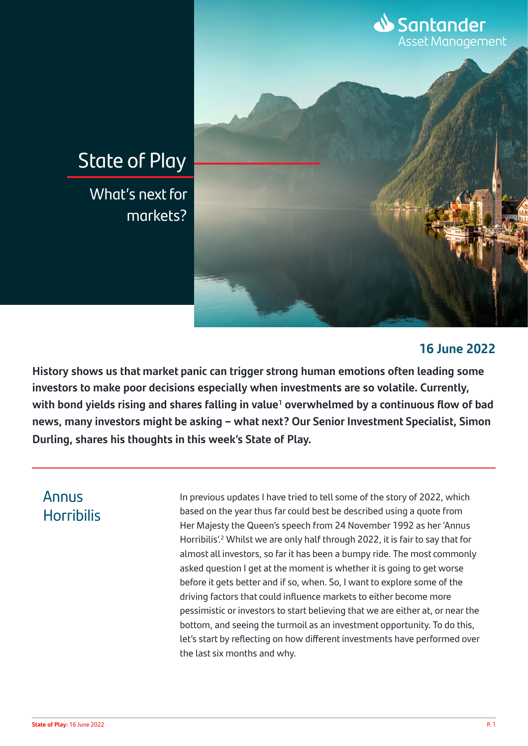

### **16 June 2022**

**History shows us that market panic can trigger strong human emotions often leading some investors to make poor decisions especially when investments are so volatile. Currently,**  with bond yields rising and shares falling in value<sup>1</sup> overwhelmed by a continuous flow of bad **news, many investors might be asking – what next? Our Senior Investment Specialist, Simon Durling, shares his thoughts in this week's State of Play.**

# Annus **Horribilis**

In previous updates I have tried to tell some of the story of 2022, which based on the year thus far could best be described using a quote from Her Majesty the Queen's speech from 24 November 1992 as her 'Annus Horribilis!<sup>2</sup> Whilst we are only half through 2022, it is fair to say that for almost all investors, so far it has been a bumpy ride. The most commonly asked question I get at the moment is whether it is going to get worse before it gets better and if so, when. So, I want to explore some of the driving factors that could influence markets to either become more pessimistic or investors to start believing that we are either at, or near the bottom, and seeing the turmoil as an investment opportunity. To do this, let's start by reflecting on how different investments have performed over the last six months and why.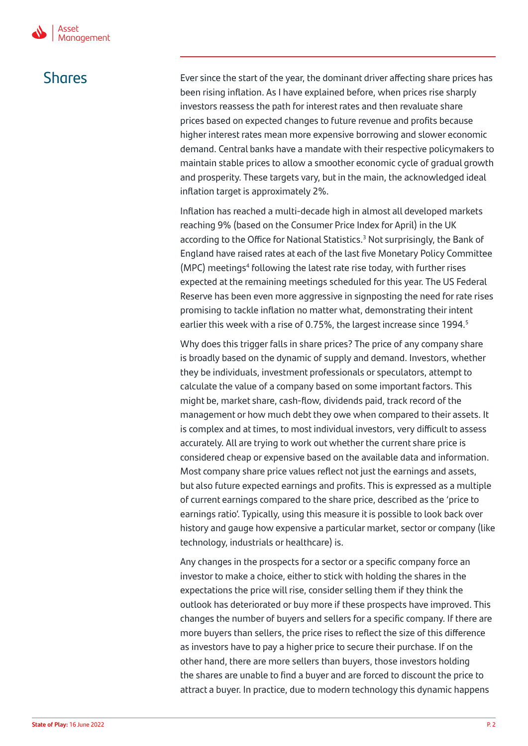Shares Ever since the start of the year, the dominant driver affecting share prices has been rising inflation. As I have explained before, when prices rise sharply investors reassess the path for interest rates and then revaluate share prices based on expected changes to future revenue and profits because higher interest rates mean more expensive borrowing and slower economic demand. Central banks have a mandate with their respective policymakers to maintain stable prices to allow a smoother economic cycle of gradual growth and prosperity. These targets vary, but in the main, the acknowledged ideal inflation target is approximately 2%.

> Inflation has reached a multi-decade high in almost all developed markets reaching 9% (based on the Consumer Price Index for April) in the UK according to the Office for National Statistics.<sup>3</sup> Not surprisingly, the Bank of England have raised rates at each of the last five Monetary Policy Committee (MPC) meetings<sup>4</sup> following the latest rate rise today, with further rises expected at the remaining meetings scheduled for this year. The US Federal Reserve has been even more aggressive in signposting the need for rate rises promising to tackle inflation no matter what, demonstrating their intent earlier this week with a rise of 0.75%, the largest increase since 1994.<sup>5</sup>

> Why does this trigger falls in share prices? The price of any company share is broadly based on the dynamic of supply and demand. Investors, whether they be individuals, investment professionals or speculators, attempt to calculate the value of a company based on some important factors. This might be, market share, cash-flow, dividends paid, track record of the management or how much debt they owe when compared to their assets. It is complex and at times, to most individual investors, very difficult to assess accurately. All are trying to work out whether the current share price is considered cheap or expensive based on the available data and information. Most company share price values reflect not just the earnings and assets, but also future expected earnings and profits. This is expressed as a multiple of current earnings compared to the share price, described as the 'price to earnings ratio'. Typically, using this measure it is possible to look back over history and gauge how expensive a particular market, sector or company (like technology, industrials or healthcare) is.

Any changes in the prospects for a sector or a specific company force an investor to make a choice, either to stick with holding the shares in the expectations the price will rise, consider selling them if they think the outlook has deteriorated or buy more if these prospects have improved. This changes the number of buyers and sellers for a specific company. If there are more buyers than sellers, the price rises to reflect the size of this difference as investors have to pay a higher price to secure their purchase. If on the other hand, there are more sellers than buyers, those investors holding the shares are unable to find a buyer and are forced to discount the price to attract a buyer. In practice, due to modern technology this dynamic happens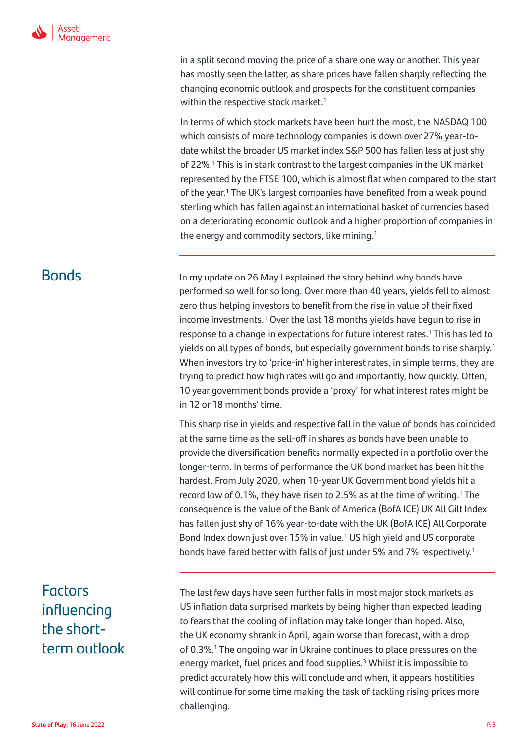in a split second moving the price of a share one way or another. This year has mostly seen the latter, as share prices have fallen sharply reflecting the changing economic outlook and prospects for the constituent companies within the respective stock market.<sup>1</sup>

In terms of which stock markets have been hurt the most, the NASDAQ 100 which consists of more technology companies is down over 27% year-todate whilst the broader US market index S&P 500 has fallen less at just shy of 22%.<sup>1</sup> This is in stark contrast to the largest companies in the UK market represented by the FTSE 100, which is almost flat when compared to the start of the year.<sup>1</sup> The UK's largest companies have benefited from a weak pound sterling which has fallen against an international basket of currencies based on a deteriorating economic outlook and a higher proportion of companies in the energy and commodity sectors, like mining. $1$ 

**Bonds** In my update on 26 May I explained the story behind why bonds have performed so well for so long. Over more than 40 years, yields fell to almost zero thus helping investors to benefit from the rise in value of their fixed income investments.<sup>1</sup> Over the last 18 months yields have begun to rise in response to a change in expectations for future interest rates.<sup>1</sup> This has led to yields on all types of bonds, but especially government bonds to rise sharply.<sup>1</sup> When investors try to 'price-in' higher interest rates, in simple terms, they are trying to predict how high rates will go and importantly, how quickly. Often, 10 year government bonds provide a 'proxy' for what interest rates might be in 12 or 18 months' time.

> This sharp rise in yields and respective fall in the value of bonds has coincided at the same time as the sell-off in shares as bonds have been unable to provide the diversification benefits normally expected in a portfolio over the longer-term. In terms of performance the UK bond market has been hit the hardest. From July 2020, when 10-year UK Government bond yields hit a record low of 0.1%, they have risen to 2.5% as at the time of writing.<sup>1</sup> The consequence is the value of the Bank of America (BofA ICE) UK All Gilt Index has fallen just shy of 16% year-to-date with the UK (BofA ICE) All Corporate Bond Index down just over 15% in value.<sup>1</sup> US high yield and US corporate bonds have fared better with falls of just under 5% and 7% respectively.<sup>1</sup>

# Factors influencing the shortterm outlook

The last few days have seen further falls in most major stock markets as US inflation data surprised markets by being higher than expected leading to fears that the cooling of inflation may take longer than hoped. Also, the UK economy shrank in April, again worse than forecast, with a drop of 0.3%.<sup>1</sup> The ongoing war in Ukraine continues to place pressures on the energy market, fuel prices and food supplies.<sup>3</sup> Whilst it is impossible to predict accurately how this will conclude and when, it appears hostilities will continue for some time making the task of tackling rising prices more challenging.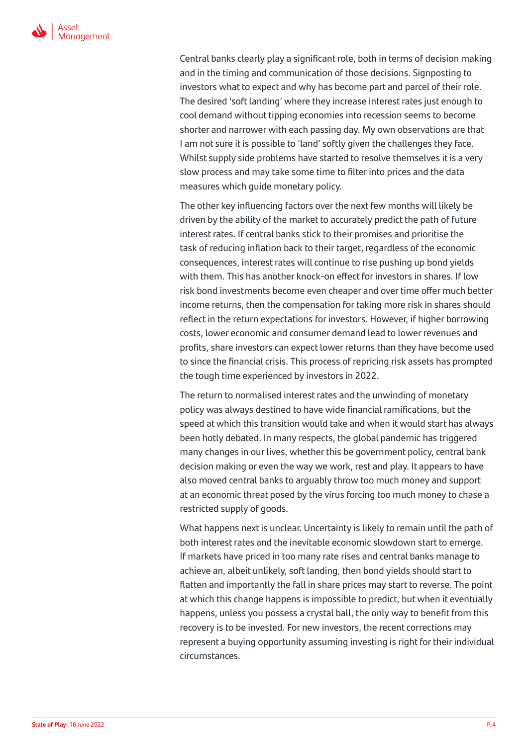

Central banks clearly play a significant role, both in terms of decision making and in the timing and communication of those decisions. Signposting to investors what to expect and why has become part and parcel of their role. The desired 'soft landing' where they increase interest rates just enough to cool demand without tipping economies into recession seems to become shorter and narrower with each passing day. My own observations are that I am not sure it is possible to 'land' softly given the challenges they face. Whilst supply side problems have started to resolve themselves it is a very slow process and may take some time to filter into prices and the data measures which guide monetary policy.

The other key influencing factors over the next few months will likely be driven by the ability of the market to accurately predict the path of future interest rates. If central banks stick to their promises and prioritise the task of reducing inflation back to their target, regardless of the economic consequences, interest rates will continue to rise pushing up bond yields with them. This has another knock-on effect for investors in shares. If low risk bond investments become even cheaper and over time offer much better income returns, then the compensation for taking more risk in shares should reflect in the return expectations for investors. However, if higher borrowing costs, lower economic and consumer demand lead to lower revenues and profits, share investors can expect lower returns than they have become used to since the financial crisis. This process of repricing risk assets has prompted the tough time experienced by investors in 2022.

The return to normalised interest rates and the unwinding of monetary policy was always destined to have wide financial ramifications, but the speed at which this transition would take and when it would start has always been hotly debated. In many respects, the global pandemic has triggered many changes in our lives, whether this be government policy, central bank decision making or even the way we work, rest and play. It appears to have also moved central banks to arguably throw too much money and support at an economic threat posed by the virus forcing too much money to chase a restricted supply of goods.

What happens next is unclear. Uncertainty is likely to remain until the path of both interest rates and the inevitable economic slowdown start to emerge. If markets have priced in too many rate rises and central banks manage to achieve an, albeit unlikely, soft landing, then bond yields should start to flatten and importantly the fall in share prices may start to reverse. The point at which this change happens is impossible to predict, but when it eventually happens, unless you possess a crystal ball, the only way to benefit from this recovery is to be invested. For new investors, the recent corrections may represent a buying opportunity assuming investing is right for their individual circumstances.